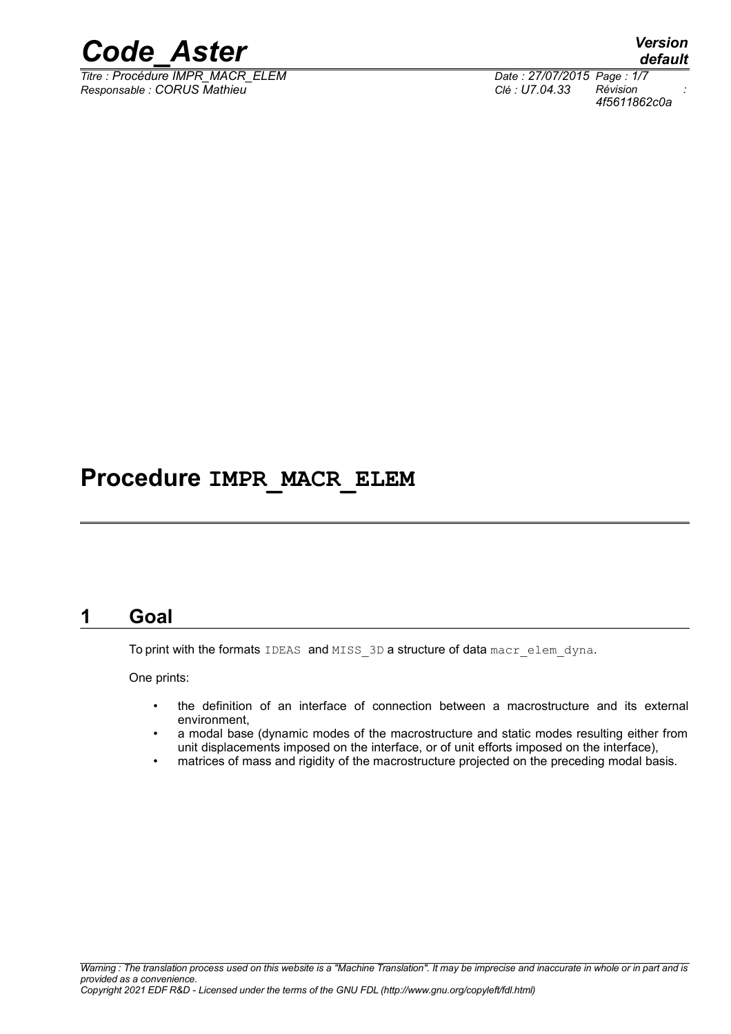

*Titre : Procédure IMPR\_MACR\_ELEM Date : 27/07/2015 Page : 1/7 Responsable : CORUS Mathieu Clé : U7.04.33 Révision :*

*default 4f5611862c0a*

## **Procedure IMPR\_MACR\_ELEM**

### **1 Goal**

<span id="page-0-0"></span>To print with the formats IDEAS and MISS 3D a structure of data macr elem dyna.

One prints:

- the definition of an interface of connection between a macrostructure and its external environment,
- a modal base (dynamic modes of the macrostructure and static modes resulting either from unit displacements imposed on the interface, or of unit efforts imposed on the interface),
- matrices of mass and rigidity of the macrostructure projected on the preceding modal basis.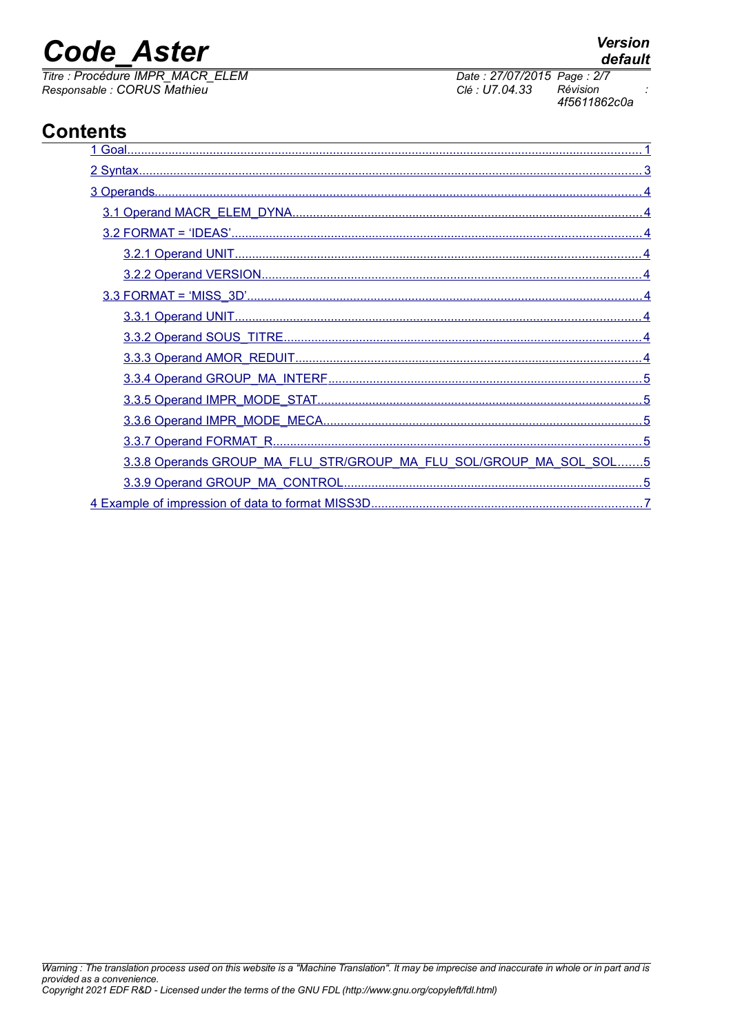# **Code Aster**

Titre : Procédure IMPR\_MACR\_ELEM Responsable : CORUS Mathieu

### **Contents**

| 3.3.8 Operands GROUP MA FLU STR/GROUP MA FLU SOL/GROUP MA SOL SOL5 |
|--------------------------------------------------------------------|
|                                                                    |
| 4 Example of impression of data to format MISS3D                   |

#### **Version** default

Date: 27/07/2015 Page: 2/7 Révision 4f5611862c0a

Clé : U7.04.33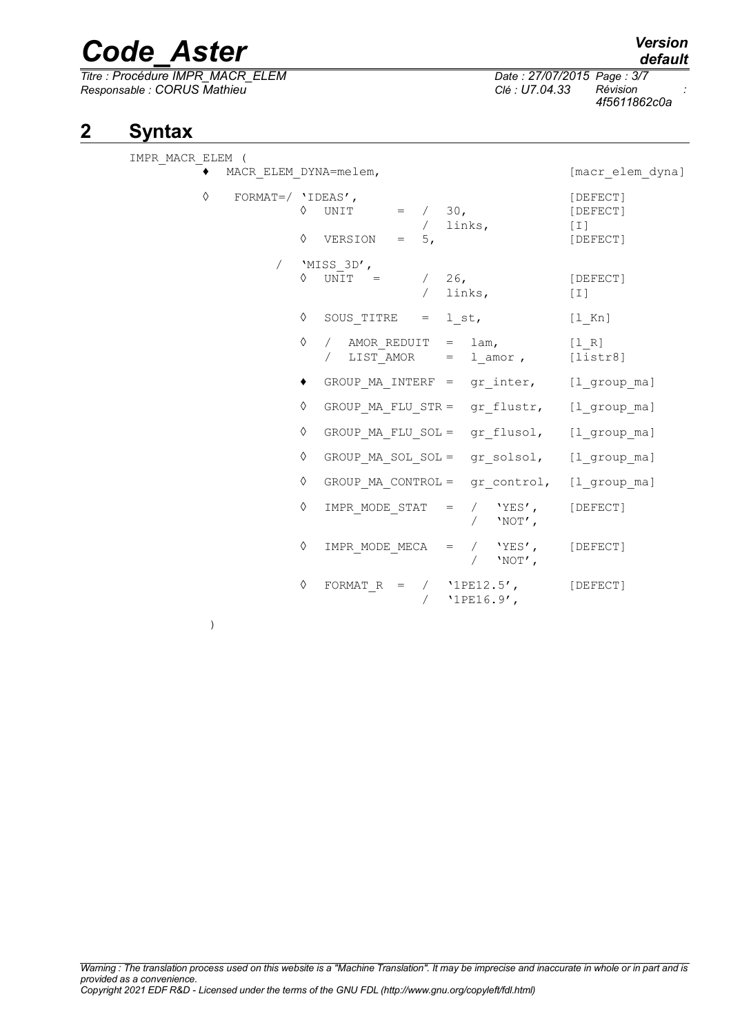*Titre : Procédure IMPR\_MACR\_ELEM Date : 27/07/2015 Page : 3/7 Responsable : CORUS Mathieu Clé : U7.04.33 Révision :*

*4f5611862c0a*

## **2 Syntax**

<span id="page-2-0"></span>

| IMPR MACR ELEM (          |            |                              |            |                                                     |                             |
|---------------------------|------------|------------------------------|------------|-----------------------------------------------------|-----------------------------|
| MACR ELEM DYNA=melem,     |            |                              |            |                                                     | [macr elem dyna]            |
| ♦<br>FORMAT=/ $'$ IDEAS', | ♦          | UNIT                         |            | $=$ / 30,<br>/ links,                               | [DEFECT]<br>[DEFECT]<br>[T] |
|                           | ♦          | VERSION<br>$= 5.$            |            |                                                     | [DEFECT]                    |
|                           | $\Diamond$ | 'MISS 3D',<br>UNIT = $/26$ , | $\sqrt{2}$ | links,                                              | [DEFECT]<br>$[1]$           |
|                           | ♦          | SOUS TITRE $=$ 1 st,         |            |                                                     | $[1$ Kn]                    |
|                           | ♦          | $\sqrt{2}$                   |            | / AMOR REDUIT = lam,<br>LIST AMOR $=$ 1 amor,       | [1 R]<br>[liststr8]         |
|                           | ٠          |                              |            | GROUP MA INTERF = gr inter, [l group ma]            |                             |
|                           | ♦          |                              |            | GROUP MA FLU STR = gr flustr, [l group ma]          |                             |
|                           | ♦          |                              |            | GROUP MA FLU SOL = gr flusol, [l group ma]          |                             |
|                           | ♦          |                              |            | GROUP MA SOL SOL = gr solsol, [l group ma]          |                             |
|                           | ♦          |                              |            | GROUP MA CONTROL = gr control, [l group ma]         |                             |
|                           | ♦          |                              |            | IMPR MODE STAT = $/$ 'YES', [DEFECT]<br>/ $'NOT'$ , |                             |
|                           | ♦          |                              |            | IMPR MODE MECA $=$ $/$ $YES'$ ,<br>/ $'NOT'$ ,      | [DEFECT]                    |
|                           | ♦          |                              |            | FORMAT R = $/$ '1PE12.5',<br>$'1PE16.9'$ ,          | [DEFECT]                    |

)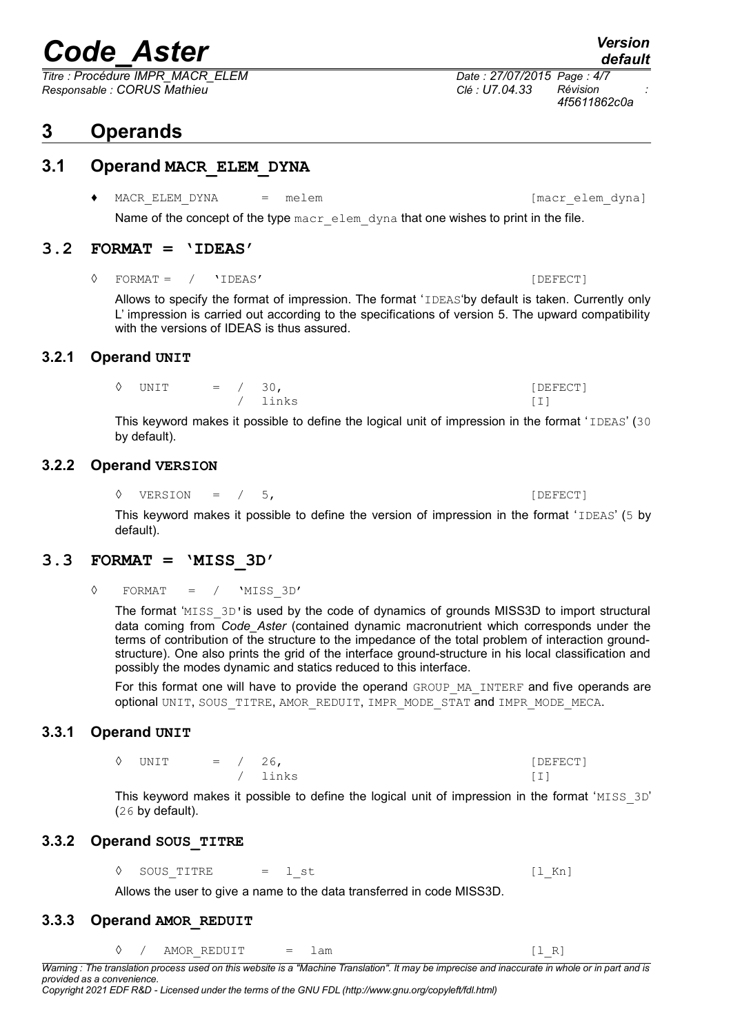*Titre : Procédure IMPR\_MACR\_ELEM Date : 27/07/2015 Page : 4/7 Responsable : CORUS Mathieu Clé : U7.04.33 Révision :*

### <span id="page-3-8"></span>**3 Operands**

#### **3.1 Operand MACR\_ELEM\_DYNA**

<span id="page-3-7"></span>◆ MACR\_ELEM\_DYNA = melem interval = melem interval = metamore interval = metamore interval = metamore interval = metamore interval = metamore interval = metamore interval = metamore interval = metamore interval = metamore Name of the concept of the type macr elem dyna that one wishes to print in the file.

#### **3.2 FORMAT = 'IDEAS'**

<span id="page-3-6"></span>◊ FORMAT = / 'IDEAS' [DEFECT]

Allows to specify the format of impression. The format 'IDEAS'by default is taken. Currently only L' impression is carried out according to the specifications of version 5. The upward compatibility with the versions of IDEAS is thus assured.

#### **3.2.1 Operand UNIT**

<span id="page-3-5"></span>

| $\Diamond$ UNIT | $=$ / 30, |         | [DEFECT] |
|-----------------|-----------|---------|----------|
|                 |           | / links |          |

This keyword makes it possible to define the logical unit of impression in the format 'IDEAS' (30 by default).

#### **3.2.2 Operand VERSION**

<span id="page-3-4"></span>◊ VERSION = / 5, [DEFECT]

This keyword makes it possible to define the version of impression in the format 'IDEAS' (5 by default).

#### **3.3 FORMAT = 'MISS\_3D'**

<span id="page-3-3"></span>◊ FORMAT = / 'MISS\_3D'

The format 'MISS 3D' is used by the code of dynamics of grounds MISS3D to import structural data coming from *Code\_Aster* (contained dynamic macronutrient which corresponds under the terms of contribution of the structure to the impedance of the total problem of interaction groundstructure). One also prints the grid of the interface ground-structure in his local classification and possibly the modes dynamic and statics reduced to this interface.

For this format one will have to provide the operand GROUP\_MA\_INTERF and five operands are optional UNIT, SOUS TITRE, AMOR REDUIT, IMPR MODE STAT and IMPR MODE MECA.

#### **3.3.1 Operand UNIT**

/ links [I]

<span id="page-3-2"></span> $\Diamond$  UNIT = / 26, [DEFECT]

This keyword makes it possible to define the logical unit of impression in the format 'MISS  $3D'$ (26 by default).

#### **3.3.2 Operand SOUS\_TITRE**

<span id="page-3-1"></span> $\Diamond$  SOUS TITRE = l\_st [l\_Kn]

Allows the user to give a name to the data transferred in code MISS3D.

#### **3.3.3 Operand AMOR\_REDUIT**

<span id="page-3-0"></span>

|  |  | . .<br>$-$ | $\overline{\phantom{0}}$ |  |  |
|--|--|------------|--------------------------|--|--|
|--|--|------------|--------------------------|--|--|

*Warning : The translation process used on this website is a "Machine Translation". It may be imprecise and inaccurate in whole or in part and is provided as a convenience.*

*4f5611862c0a*

*default*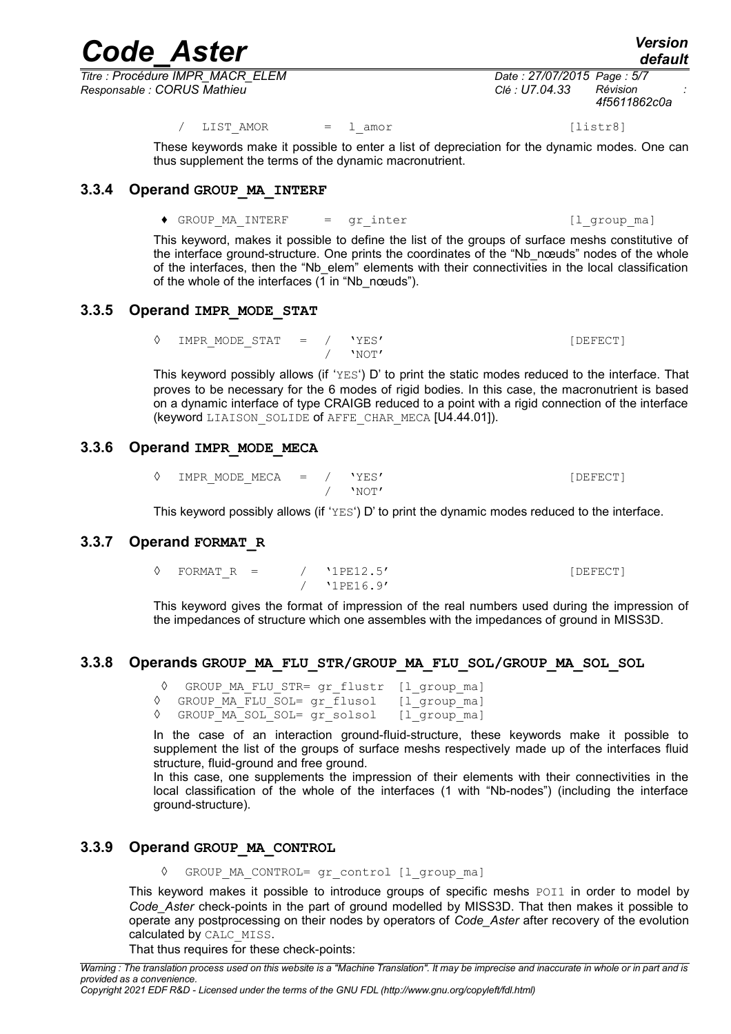*Titre : Procédure IMPR\_MACR\_ELEM Date : 27/07/2015 Page : 5/7 Responsable : CORUS Mathieu Clé : U7.04.33 Révision :*

*4f5611862c0a*

/ LIST AMOR = l amor [listr8]

These keywords make it possible to enter a list of depreciation for the dynamic modes. One can thus supplement the terms of the dynamic macronutrient.

#### **3.3.4 Operand GROUP\_MA\_INTERF**

<span id="page-4-5"></span>◆ GROUP MA\_INTERF = gr\_inter (1\_group\_ma)

This keyword, makes it possible to define the list of the groups of surface meshs constitutive of the interface ground-structure. One prints the coordinates of the "Nb nœuds" nodes of the whole of the interfaces, then the "Nb elem" elements with their connectivities in the local classification of the whole of the interfaces  $(1 \text{ in "Nb} \text{ needs}").$ 

#### **3.3.5 Operand IMPR\_MODE\_STAT**

<span id="page-4-4"></span>◊ IMPR\_MODE\_STAT = / 'YES' [DEFECT] / 'NOT'

This keyword possibly allows (if 'YES') D' to print the static modes reduced to the interface. That proves to be necessary for the 6 modes of rigid bodies. In this case, the macronutrient is based on a dynamic interface of type CRAIGB reduced to a point with a rigid connection of the interface (keyword LIAISON SOLIDE of AFFE CHAR MECA [U4.44.01]).

#### **3.3.6 Operand IMPR\_MODE\_MECA**

<span id="page-4-3"></span>◊ IMPR\_MODE\_MECA = / 'YES' [DEFECT] / 'NOT'

<span id="page-4-2"></span>This keyword possibly allows (if ' $YES'$ ) D' to print the dynamic modes reduced to the interface.

#### **3.3.7 Operand FORMAT\_R**

 $\sqrt{P_{\text{P}}P_{\text{P}}P_{\text{P}}P_{\text{P}}P_{\text{P}}P_{\text{P}}P_{\text{P}}P_{\text{P}}P_{\text{P}}P_{\text{P}}P_{\text{P}}P_{\text{P}}P_{\text{P}}P_{\text{P}}P_{\text{P}}P_{\text{P}}P_{\text{P}}P_{\text{P}}P_{\text{P}}P_{\text{P}}P_{\text{P}}P_{\text{P}}P_{\text{P}}P_{\text{P}}P_{\text{P}}P_{\text{P}}P_{\text{P}}P_{\text{P}}P_{\text{P}}P_{\text{P}}P_{\text{P}}$ / '1PE16.9'

This keyword gives the format of impression of the real numbers used during the impression of the impedances of structure which one assembles with the impedances of ground in MISS3D.

#### **3.3.8 Operands GROUP\_MA\_FLU\_STR/GROUP\_MA\_FLU\_SOL/GROUP\_MA\_SOL\_SOL**

<span id="page-4-1"></span>◊ GROUP\_MA\_FLU\_STR= gr\_flustr [l\_group\_ma]

- ◊ GROUP\_MA\_FLU\_SOL= gr\_flusol [l\_group\_ma]
- ◊ GROUP\_MA\_SOL\_SOL= gr\_solsol [l\_group\_ma]

In the case of an interaction ground-fluid-structure, these keywords make it possible to supplement the list of the groups of surface meshs respectively made up of the interfaces fluid structure, fluid-ground and free ground.

In this case, one supplements the impression of their elements with their connectivities in the local classification of the whole of the interfaces (1 with "Nb-nodes") (including the interface ground-structure).

#### **3.3.9 Operand GROUP\_MA\_CONTROL**

<span id="page-4-0"></span>◊ GROUP\_MA\_CONTROL= gr\_control [l\_group\_ma]

This keyword makes it possible to introduce groups of specific meshs POI1 in order to model by *Code\_Aster* check-points in the part of ground modelled by MISS3D. That then makes it possible to operate any postprocessing on their nodes by operators of *Code\_Aster* after recovery of the evolution calculated by CALC\_MISS.

That thus requires for these check-points:

*Copyright 2021 EDF R&D - Licensed under the terms of the GNU FDL (http://www.gnu.org/copyleft/fdl.html)*

# *Code\_Aster Version*

*default*

*Warning : The translation process used on this website is a "Machine Translation". It may be imprecise and inaccurate in whole or in part and is provided as a convenience.*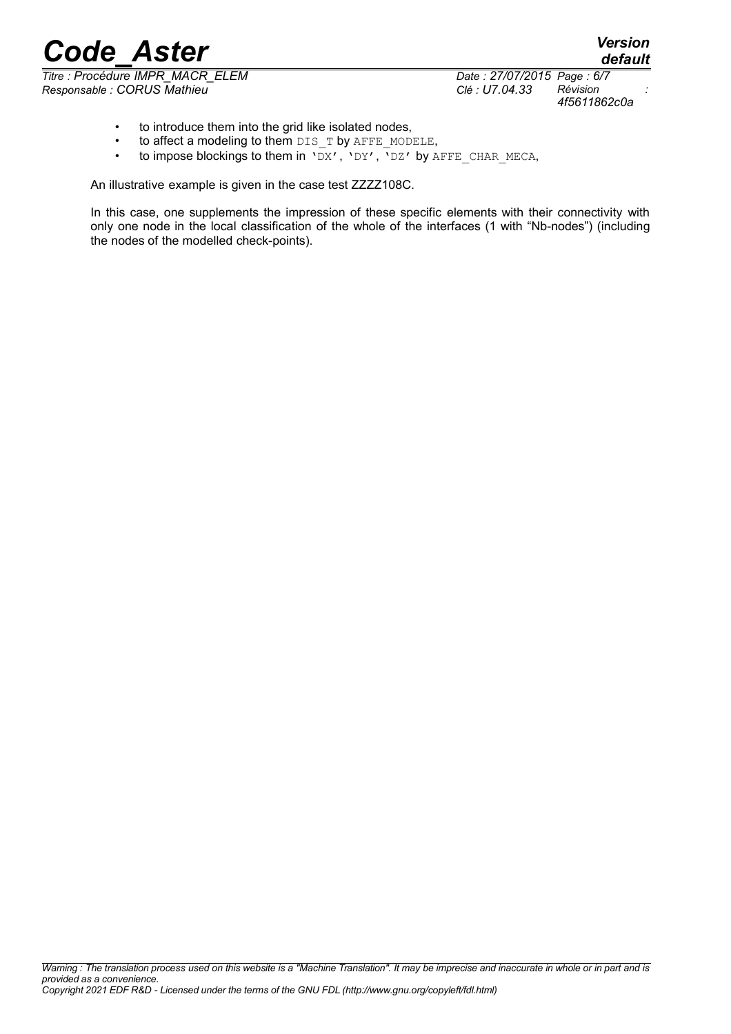*Titre : Procédure IMPR\_MACR\_ELEM Date : 27/07/2015 Page : 6/7 Responsable : CORUS Mathieu Clé : U7.04.33 Révision :*

*4f5611862c0a*

*default*

- to introduce them into the grid like isolated nodes,
- to affect a modeling to them DIS\_T by AFFE\_MODELE,
- to impose blockings to them in  $\overline{DX'}$ ,  $\overline{YDY'}$ ,  $\overline{YDZ'}$  by AFFE CHAR MECA,

An illustrative example is given in the case test ZZZZ108C.

In this case, one supplements the impression of these specific elements with their connectivity with only one node in the local classification of the whole of the interfaces (1 with "Nb-nodes") (including the nodes of the modelled check-points).